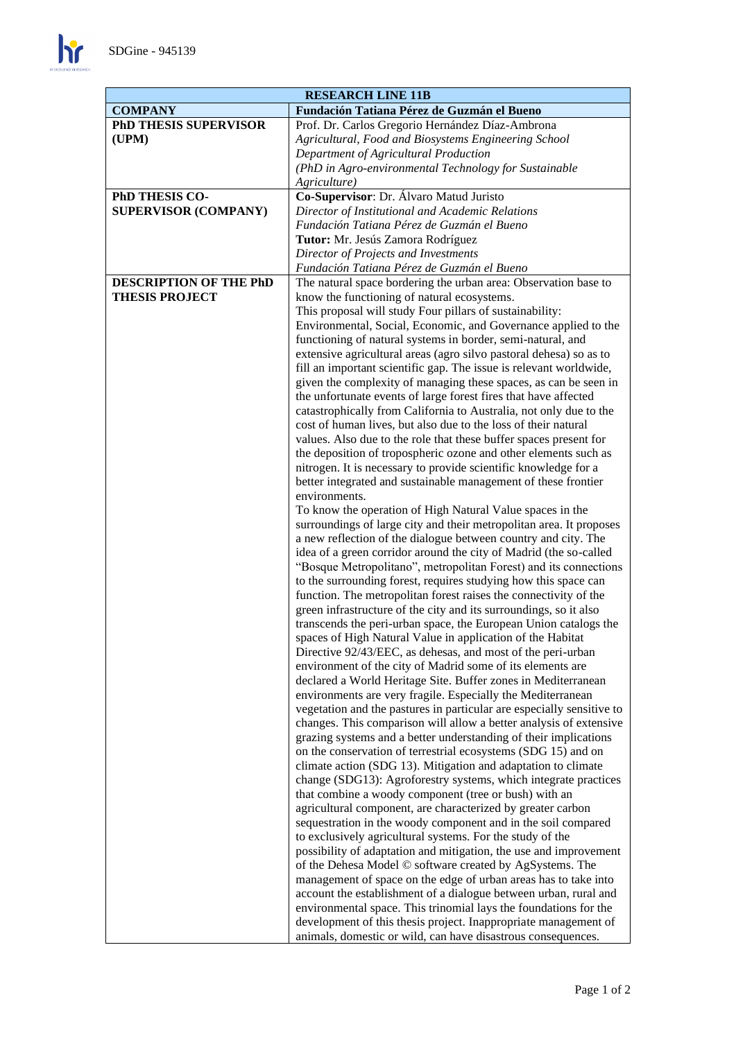| <b>RESEARCH LINE 11B</b>     |                                                                                                                                       |
|------------------------------|---------------------------------------------------------------------------------------------------------------------------------------|
| <b>COMPANY</b>               | Fundación Tatiana Pérez de Guzmán el Bueno                                                                                            |
| <b>PhD THESIS SUPERVISOR</b> | Prof. Dr. Carlos Gregorio Hernández Díaz-Ambrona                                                                                      |
| (UPM)                        | Agricultural, Food and Biosystems Engineering School                                                                                  |
|                              | Department of Agricultural Production                                                                                                 |
|                              | (PhD in Agro-environmental Technology for Sustainable                                                                                 |
|                              | Agriculture)                                                                                                                          |
| PhD THESIS CO-               | Co-Supervisor: Dr. Álvaro Matud Juristo                                                                                               |
| <b>SUPERVISOR (COMPANY)</b>  | Director of Institutional and Academic Relations                                                                                      |
|                              | Fundación Tatiana Pérez de Guzmán el Bueno                                                                                            |
|                              | Tutor: Mr. Jesús Zamora Rodríguez                                                                                                     |
|                              | Director of Projects and Investments                                                                                                  |
|                              | Fundación Tatiana Pérez de Guzmán el Bueno                                                                                            |
| DESCRIPTION OF THE PhD       | The natural space bordering the urban area: Observation base to                                                                       |
| <b>THESIS PROJECT</b>        | know the functioning of natural ecosystems.                                                                                           |
|                              | This proposal will study Four pillars of sustainability:                                                                              |
|                              | Environmental, Social, Economic, and Governance applied to the                                                                        |
|                              | functioning of natural systems in border, semi-natural, and                                                                           |
|                              | extensive agricultural areas (agro silvo pastoral dehesa) so as to                                                                    |
|                              | fill an important scientific gap. The issue is relevant worldwide,                                                                    |
|                              | given the complexity of managing these spaces, as can be seen in                                                                      |
|                              | the unfortunate events of large forest fires that have affected<br>catastrophically from California to Australia, not only due to the |
|                              | cost of human lives, but also due to the loss of their natural                                                                        |
|                              | values. Also due to the role that these buffer spaces present for                                                                     |
|                              | the deposition of tropospheric ozone and other elements such as                                                                       |
|                              | nitrogen. It is necessary to provide scientific knowledge for a                                                                       |
|                              | better integrated and sustainable management of these frontier                                                                        |
|                              | environments.                                                                                                                         |
|                              | To know the operation of High Natural Value spaces in the                                                                             |
|                              | surroundings of large city and their metropolitan area. It proposes                                                                   |
|                              | a new reflection of the dialogue between country and city. The                                                                        |
|                              | idea of a green corridor around the city of Madrid (the so-called                                                                     |
|                              | "Bosque Metropolitano", metropolitan Forest) and its connections                                                                      |
|                              | to the surrounding forest, requires studying how this space can                                                                       |
|                              | function. The metropolitan forest raises the connectivity of the                                                                      |
|                              | green infrastructure of the city and its surroundings, so it also                                                                     |
|                              | transcends the peri-urban space, the European Union catalogs the                                                                      |
|                              | spaces of High Natural Value in application of the Habitat                                                                            |
|                              | Directive 92/43/EEC, as dehesas, and most of the peri-urban                                                                           |
|                              | environment of the city of Madrid some of its elements are                                                                            |
|                              | declared a World Heritage Site. Buffer zones in Mediterranean                                                                         |
|                              | environments are very fragile. Especially the Mediterranean                                                                           |
|                              | vegetation and the pastures in particular are especially sensitive to                                                                 |
|                              | changes. This comparison will allow a better analysis of extensive                                                                    |
|                              | grazing systems and a better understanding of their implications                                                                      |
|                              | on the conservation of terrestrial ecosystems (SDG 15) and on<br>climate action (SDG 13). Mitigation and adaptation to climate        |
|                              | change (SDG13): Agroforestry systems, which integrate practices                                                                       |
|                              | that combine a woody component (tree or bush) with an                                                                                 |
|                              | agricultural component, are characterized by greater carbon                                                                           |
|                              | sequestration in the woody component and in the soil compared                                                                         |
|                              | to exclusively agricultural systems. For the study of the                                                                             |
|                              | possibility of adaptation and mitigation, the use and improvement                                                                     |
|                              | of the Dehesa Model © software created by AgSystems. The                                                                              |
|                              | management of space on the edge of urban areas has to take into                                                                       |
|                              | account the establishment of a dialogue between urban, rural and                                                                      |
|                              | environmental space. This trinomial lays the foundations for the                                                                      |
|                              | development of this thesis project. Inappropriate management of                                                                       |
|                              | animals, domestic or wild, can have disastrous consequences.                                                                          |